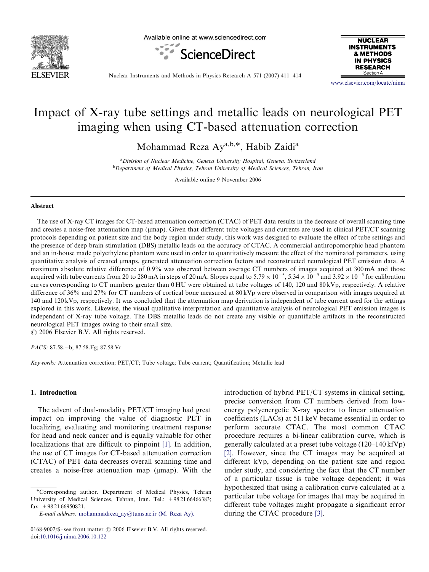

Available online at www.sciencedirect.com





Nuclear Instruments and Methods in Physics Research A 571 (2007) 411–414

<www.elsevier.com/locate/nima>

# Impact of X-ray tube settings and metallic leads on neurological PET imaging when using CT-based attenuation correction

Mohammad Reza Ay<sup>a,b,\*</sup>, Habib Zaidi<sup>a</sup>

<sup>a</sup> Division of Nuclear Medicine, Geneva University Hospital, Geneva, Switzerland **b** Department of Medical Physics, Tehran University of Medical Sciences, Tehran, Iran

Available online 9 November 2006

#### Abstract

The use of X-ray CT images for CT-based attenuation correction (CTAC) of PET data results in the decrease of overall scanning time and creates a noise-free attenuation map (mmap). Given that different tube voltages and currents are used in clinical PET/CT scanning protocols depending on patient size and the body region under study, this work was designed to evaluate the effect of tube settings and the presence of deep brain stimulation (DBS) metallic leads on the accuracy of CTAC. A commercial anthropomorphic head phantom and an in-house made polyethylene phantom were used in order to quantitatively measure the effect of the nominated parameters, using quantitative analysis of created mmaps, generated attenuation correction factors and reconstructed neurological PET emission data. A maximum absolute relative difference of 0.9% was observed between average CT numbers of images acquired at 300 mA and those acquired with tube currents from 20 to 280 mA in steps of 20 mA. Slopes equal to  $5.79 \times 10^{-5}$ ,  $5.34 \times 10^{-5}$  and  $3.92 \times 10^{-5}$  for calibration curves corresponding to CT numbers greater than 0 HU were obtained at tube voltages of 140, 120 and 80 kVp, respectively. A relative difference of 36% and 27% for CT numbers of cortical bone measured at 80 kVp were observed in comparison with images acquired at 140 and 120 kVp, respectively. It was concluded that the attenuation map derivation is independent of tube current used for the settings explored in this work. Likewise, the visual qualitative interpretation and quantitative analysis of neurological PET emission images is independent of X-ray tube voltage. The DBS metallic leads do not create any visible or quantifiable artifacts in the reconstructed neurological PET images owing to their small size.

 $\odot$  2006 Elsevier B.V. All rights reserved.

PACS: 87.58.-b; 87.58.Fg; 87.58.Vr

Keywords: Attenuation correction; PET/CT; Tube voltage; Tube current; Quantification; Metallic lead

## 1. Introduction

The advent of dual-modality PET/CT imaging had great impact on improving the value of diagnostic PET in localizing, evaluating and monitoring treatment response for head and neck cancer and is equally valuable for other localizations that are difficult to pinpoint [\[1\].](#page-3-0) In addition, the use of CT images for CT-based attenuation correction (CTAC) of PET data decreases overall scanning time and creates a noise-free attenuation map ( $\mu$ map). With the introduction of hybrid PET/CT systems in clinical setting, precise conversion from CT numbers derived from lowenergy polyenergetic X-ray spectra to linear attenuation coefficients (LACs) at 511 keV became essential in order to perform accurate CTAC. The most common CTAC procedure requires a bi-linear calibration curve, which is generally calculated at a preset tube voltage (120–140 kfVp) [\[2\].](#page-3-0) However, since the CT images may be acquired at different kVp, depending on the patient size and region under study, and considering the fact that the CT number of a particular tissue is tube voltage dependent; it was hypothesized that using a calibration curve calculated at a particular tube voltage for images that may be acquired in different tube voltages might propagate a significant error during the CTAC procedure [\[3\].](#page-3-0)

<sup>\*</sup>Corresponding author. Department of Medical Physics, Tehran University of Medical Sciences, Tehran, Iran. Tel.: +98 21 66466383; fax: +98 21 66950821.

E-mail address: [mohammadreza\\_ay@tums.ac.ir \(M. Reza Ay\).](mailto:mohammadreza_ay@tums.ac.ir)

<sup>0168-9002/\$ -</sup> see front matter  $\odot$  2006 Elsevier B.V. All rights reserved. doi:[10.1016/j.nima.2006.10.122](dx.doi.org/10.1016/j.nima.2006.10.122)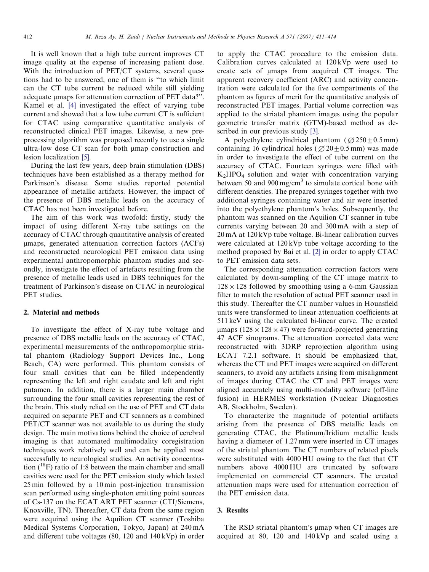It is well known that a high tube current improves CT image quality at the expense of increasing patient dose. With the introduction of PET/CT systems, several questions had to be answered, one of them is ''to which limit can the CT tube current be reduced while still yielding adequate mmaps for attenuation correction of PET data?''. Kamel et al. [\[4\]](#page-3-0) investigated the effect of varying tube current and showed that a low tube current CT is sufficient for CTAC using comparative quantitative analysis of reconstructed clinical PET images. Likewise, a new preprocessing algorithm was proposed recently to use a single ultra-low dose CT scan for both  $\mu$ map construction and lesion localization [\[5\].](#page-3-0)

During the last few years, deep brain stimulation (DBS) techniques have been established as a therapy method for Parkinson's disease. Some studies reported potential appearance of metallic artifacts. However, the impact of the presence of DBS metallic leads on the accuracy of CTAC has not been investigated before.

The aim of this work was twofold: firstly, study the impact of using different X-ray tube settings on the accuracy of CTAC through quantitative analysis of created mmaps, generated attenuation correction factors (ACFs) and reconstructed neurological PET emission data using experimental anthropomorphic phantom studies and secondly, investigate the effect of artefacts resulting from the presence of metallic leads used in DBS techniques for the treatment of Parkinson's disease on CTAC in neurological PET studies.

## 2. Material and methods

To investigate the effect of X-ray tube voltage and presence of DBS metallic leads on the accuracy of CTAC, experimental measurements of the anthropomorphic striatal phantom (Radiology Support Devices Inc., Long Beach, CA) were performed. This phantom consists of four small cavities that can be filled independently representing the left and right caudate and left and right putamen. In addition, there is a larger main chamber surrounding the four small cavities representing the rest of the brain. This study relied on the use of PET and CT data acquired on separate PET and CT scanners as a combined PET/CT scanner was not available to us during the study design. The main motivations behind the choice of cerebral imaging is that automated multimodality coregistration techniques work relatively well and can be applied most successfully to neurological studies. An activity concentration  $(^{18}F)$  ratio of 1:8 between the main chamber and small cavities were used for the PET emission study which lasted 25 min followed by a 10 min post-injection transmission scan performed using single-photon emitting point sources of Cs-137 on the ECAT ART PET scanner (CTI/Siemens, Knoxville, TN). Thereafter, CT data from the same region were acquired using the Aquilion CT scanner (Toshiba Medical Systems Corporation, Tokyo, Japan) at 240 mA and different tube voltages (80, 120 and 140 kVp) in order to apply the CTAC procedure to the emission data. Calibration curves calculated at 120 kVp were used to create sets of umaps from acquired CT images. The apparent recovery coefficient (ARC) and activity concentration were calculated for the five compartments of the phantom as figures of merit for the quantitative analysis of reconstructed PET images. Partial volume correction was applied to the striatal phantom images using the popular geometric transfer matrix (GTM)-based method as described in our previous study [\[3\]](#page-3-0).

A polyethylene cylindrical phantom ( $\varnothing$ 250+0.5 mm) containing 16 cylindrical holes ( $\varnothing$ 20+0.5 mm) was made in order to investigate the effect of tube current on the accuracy of CTAC. Fourteen syringes were filled with  $K_2HPO_4$  solution and water with concentration varying between 50 and 900 mg/cm<sup>3</sup> to simulate cortical bone with different densities. The prepared syringes together with two additional syringes containing water and air were inserted into the polyethylene phantom's holes. Subsequently, the phantom was scanned on the Aquilion CT scanner in tube currents varying between 20 and 300 mA with a step of 20 mA at 120 kVp tube voltage. Bi-linear calibration curves were calculated at 120 kVp tube voltage according to the method proposed by Bai et al. [\[2\]](#page-3-0) in order to apply CTAC to PET emission data sets.

The corresponding attenuation correction factors were calculated by down-sampling of the CT image matrix to  $128 \times 128$  followed by smoothing using a 6-mm Gaussian filter to match the resolution of actual PET scanner used in this study. Thereafter the CT number values in Hounsfield units were transformed to linear attenuation coefficients at 511 keV using the calculated bi-linear curve. The created  $\mu$ maps (128 × 128 × 47) were forward-projected generating 47 ACF sinograms. The attenuation corrected data were reconstructed with 3DRP reprojection algorithm using ECAT 7.2.1 software. It should be emphasized that, whereas the CT and PET images were acquired on different scanners, to avoid any artifacts arising from misalignment of images during CTAC the CT and PET images were aligned accurately using multi-modality software (off-line fusion) in HERMES workstation (Nuclear Diagnostics AB, Stockholm, Sweden).

To characterize the magnitude of potential artifacts arising from the presence of DBS metallic leads on generating CTAC, the Platinum/Iridium metallic leads having a diameter of 1.27 mm were inserted in CT images of the striatal phantom. The CT numbers of related pixels were substituted with 4000 HU owing to the fact that CT numbers above 4000 HU are truncated by software implemented on commercial CT scanners. The created attenuation maps were used for attenuation correction of the PET emission data.

## 3. Results

The RSD striatal phantom's umap when CT images are acquired at 80, 120 and 140 kVp and scaled using a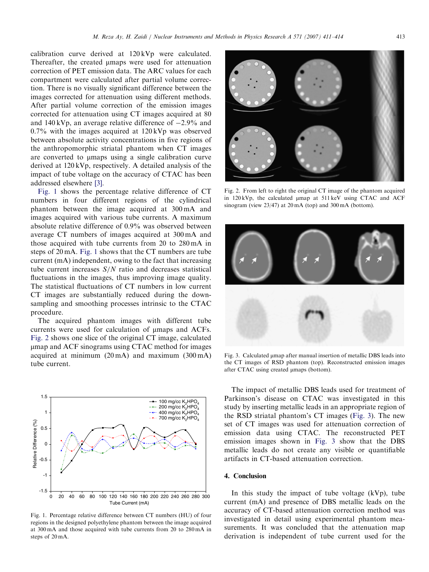calibration curve derived at 120 kVp were calculated. Thereafter, the created umaps were used for attenuation correction of PET emission data. The ARC values for each compartment were calculated after partial volume correction. There is no visually significant difference between the images corrected for attenuation using different methods. After partial volume correction of the emission images corrected for attenuation using CT images acquired at 80 and  $140 \text{ kVp}$ , an average relative difference of  $-2.9\%$  and 0.7% with the images acquired at 120 kVp was observed between absolute activity concentrations in five regions of the anthropomorphic striatal phantom when CT images are converted to umaps using a single calibration curve derived at 120 kVp, respectively. A detailed analysis of the impact of tube voltage on the accuracy of CTAC has been addressed elsewhere [\[3\].](#page-3-0)

Fig. 1 shows the percentage relative difference of CT numbers in four different regions of the cylindrical phantom between the image acquired at 300 mA and images acquired with various tube currents. A maximum absolute relative difference of 0.9% was observed between average CT numbers of images acquired at 300 mA and those acquired with tube currents from 20 to 280 mA in steps of 20 mA. Fig. 1 shows that the CT numbers are tube current (mA) independent, owing to the fact that increasing tube current increases  $S/N$  ratio and decreases statistical fluctuations in the images, thus improving image quality. The statistical fluctuations of CT numbers in low current CT images are substantially reduced during the downsampling and smoothing processes intrinsic to the CTAC procedure.

The acquired phantom images with different tube currents were used for calculation of umaps and ACFs. Fig. 2 shows one slice of the original CT image, calculated mmap and ACF sinograms using CTAC method for images acquired at minimum (20 mA) and maximum (300 mA) tube current.



Fig. 1. Percentage relative difference between CT numbers (HU) of four regions in the designed polyethylene phantom between the image acquired at 300 mA and those acquired with tube currents from 20 to 280 mA in steps of 20 mA.



Fig. 2. From left to right the original CT image of the phantom acquired in 120 kVp, the calculated mmap at 511 keV using CTAC and ACF sinogram (view 23/47) at 20 mA (top) and 300 mA (bottom).



Fig. 3. Calculated µmap after manual insertion of metallic DBS leads into the CT images of RSD phantom (top). Reconstructed emission images after CTAC using created µmaps (bottom).

The impact of metallic DBS leads used for treatment of Parkinson's disease on CTAC was investigated in this study by inserting metallic leads in an appropriate region of the RSD striatal phantom's CT images (Fig. 3). The new set of CT images was used for attenuation correction of emission data using CTAC. The reconstructed PET emission images shown in Fig. 3 show that the DBS metallic leads do not create any visible or quantifiable artifacts in CT-based attenuation correction.

## 4. Conclusion

In this study the impact of tube voltage  $(kVp)$ , tube current (mA) and presence of DBS metallic leads on the accuracy of CT-based attenuation correction method was investigated in detail using experimental phantom measurements. It was concluded that the attenuation map derivation is independent of tube current used for the